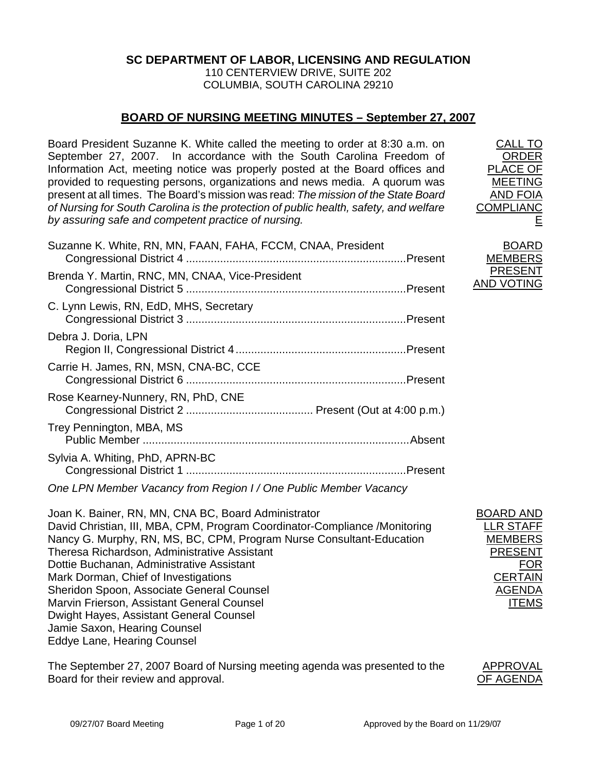## **SC DEPARTMENT OF LABOR, LICENSING AND REGULATION**

110 CENTERVIEW DRIVE, SUITE 202 COLUMBIA, SOUTH CAROLINA 29210

# **BOARD OF NURSING MEETING MINUTES – September 27, 2007**

Board President Suzanne K. White called the meeting to order at 8:30 a.m. on September 27, 2007. In accordance with the South Carolina Freedom of Information Act, meeting notice was properly posted at the Board offices and provided to requesting persons, organizations and news media. A quorum was present at all times. The Board's mission was read: *The mission of the State Board of Nursing for South Carolina is the protection of public health, safety, and welfare by assuring safe and competent practice of nursing.*

| Suzanne K. White, RN, MN, FAAN, FAHA, FCCM, CNAA, President      |  | <b>BOARD</b><br><b>MEMBERS</b>      |
|------------------------------------------------------------------|--|-------------------------------------|
| Brenda Y. Martin, RNC, MN, CNAA, Vice-President                  |  | <b>PRESENT</b><br><b>AND VOTING</b> |
| C. Lynn Lewis, RN, EdD, MHS, Secretary                           |  |                                     |
| Debra J. Doria, LPN                                              |  |                                     |
| Carrie H. James, RN, MSN, CNA-BC, CCE                            |  |                                     |
| Rose Kearney-Nunnery, RN, PhD, CNE                               |  |                                     |
| Trey Pennington, MBA, MS                                         |  |                                     |
| Sylvia A. Whiting, PhD, APRN-BC                                  |  |                                     |
| One LPN Member Vacancy from Region I / One Public Member Vacancy |  |                                     |

Joan K. Bainer, RN, MN, CNA BC, Board Administrator David Christian, III, MBA, CPM, Program Coordinator-Compliance /Monitoring Nancy G. Murphy, RN, MS, BC, CPM, Program Nurse Consultant-Education Theresa Richardson, Administrative Assistant Dottie Buchanan, Administrative Assistant Mark Dorman, Chief of Investigations Sheridon Spoon, Associate General Counsel Marvin Frierson, Assistant General Counsel Dwight Hayes, Assistant General Counsel Jamie Saxon, Hearing Counsel Eddye Lane, Hearing Counsel

The September 27, 2007 Board of Nursing meeting agenda was presented to the Board for their review and approval.



BOARD AND LLR STAFF MEMBERS PRESENT

> FOR **CERTAIN** AGENDA ITEMS

CALL TO ORDER PLACE OF MEETING AND FOIA COMPLIANC

E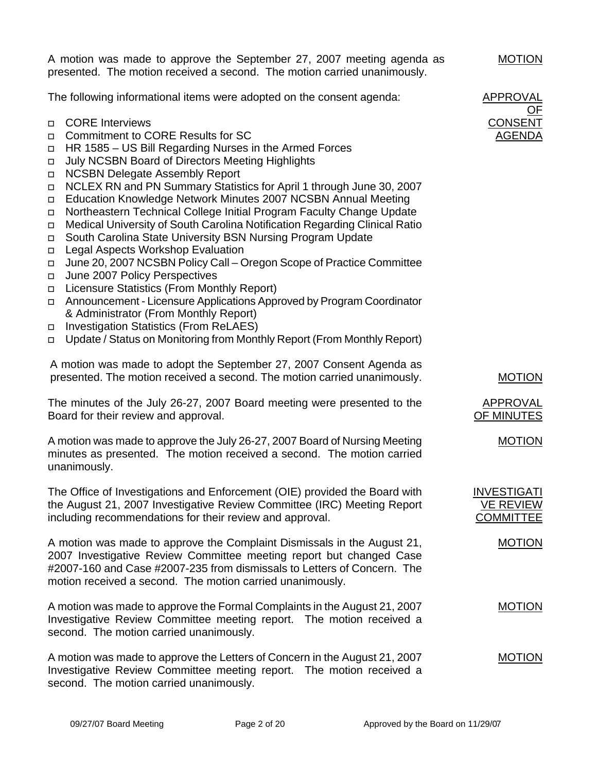A motion was made to approve the September 27, 2007 meeting agenda as presented. The motion received a second. The motion carried unanimously.

The following informational items were adopted on the consent agenda:

- CORE Interviews
- □ Commitment to CORE Results for SC
- $\Box$  HR 1585 US Bill Regarding Nurses in the Armed Forces
- □ July NCSBN Board of Directors Meeting Highlights
- □ NCSBN Delegate Assembly Report
- NCLEX RN and PN Summary Statistics for April 1 through June 30, 2007
- Education Knowledge Network Minutes 2007 NCSBN Annual Meeting
- □ Northeastern Technical College Initial Program Faculty Change Update
- Medical University of South Carolina Notification Regarding Clinical Ratio
- South Carolina State University BSN Nursing Program Update
- □ Legal Aspects Workshop Evaluation
- June 20, 2007 NCSBN Policy Call Oregon Scope of Practice Committee
- □ June 2007 Policy Perspectives
- Licensure Statistics (From Monthly Report)
- Announcement Licensure Applications Approved by Program Coordinator & Administrator (From Monthly Report)
- □ Investigation Statistics (From ReLAES)
- □ Update / Status on Monitoring from Monthly Report (From Monthly Report)

A motion was made to adopt the September 27, 2007 Consent Agenda as presented. The motion received a second. The motion carried unanimously.

The minutes of the July 26-27, 2007 Board meeting were presented to the Board for their review and approval.

A motion was made to approve the July 26-27, 2007 Board of Nursing Meeting minutes as presented. The motion received a second. The motion carried unanimously.

The Office of Investigations and Enforcement (OIE) provided the Board with the August 21, 2007 Investigative Review Committee (IRC) Meeting Report including recommendations for their review and approval.

A motion was made to approve the Complaint Dismissals in the August 21, 2007 Investigative Review Committee meeting report but changed Case #2007-160 and Case #2007-235 from dismissals to Letters of Concern. The motion received a second. The motion carried unanimously.

A motion was made to approve the Formal Complaints in the August 21, 2007 Investigative Review Committee meeting report. The motion received a second. The motion carried unanimously.

A motion was made to approve the Letters of Concern in the August 21, 2007 Investigative Review Committee meeting report. The motion received a second. The motion carried unanimously.

APPROVAL OF CONSENT AGENDA

MOTION

MOTION

APPROVAL OF MINUTES

MOTION

**INVESTIGATI** VE REVIEW **COMMITTEE** 

MOTION

MOTION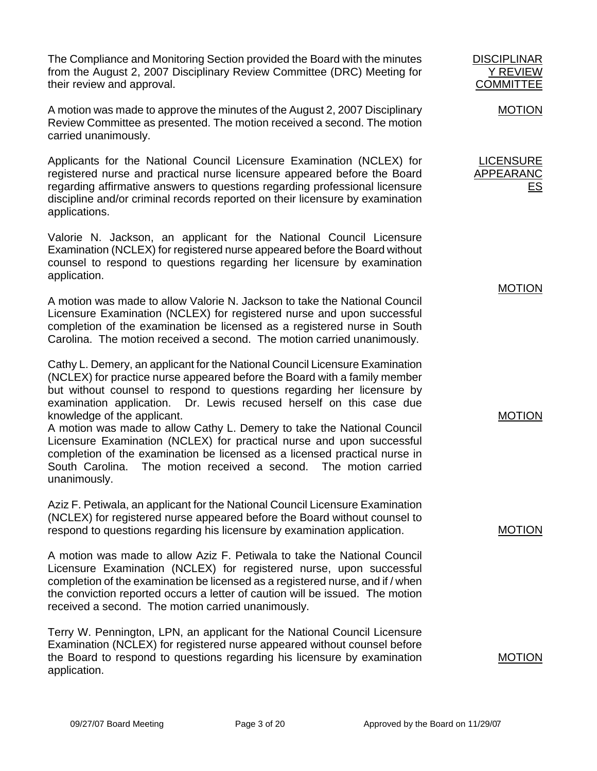The Compliance and Monitoring Section provided the Board with the minutes from the August 2, 2007 Disciplinary Review Committee (DRC) Meeting for their review and approval.

A motion was made to approve the minutes of the August 2, 2007 Disciplinary Review Committee as presented. The motion received a second. The motion carried unanimously.

Applicants for the National Council Licensure Examination (NCLEX) for registered nurse and practical nurse licensure appeared before the Board regarding affirmative answers to questions regarding professional licensure discipline and/or criminal records reported on their licensure by examination applications.

Valorie N. Jackson, an applicant for the National Council Licensure Examination (NCLEX) for registered nurse appeared before the Board without counsel to respond to questions regarding her licensure by examination application.

A motion was made to allow Valorie N. Jackson to take the National Council Licensure Examination (NCLEX) for registered nurse and upon successful completion of the examination be licensed as a registered nurse in South Carolina. The motion received a second. The motion carried unanimously.

Cathy L. Demery, an applicant for the National Council Licensure Examination (NCLEX) for practice nurse appeared before the Board with a family member but without counsel to respond to questions regarding her licensure by examination application. Dr. Lewis recused herself on this case due knowledge of the applicant.

A motion was made to allow Cathy L. Demery to take the National Council Licensure Examination (NCLEX) for practical nurse and upon successful completion of the examination be licensed as a licensed practical nurse in South Carolina. The motion received a second. The motion carried unanimously.

Aziz F. Petiwala, an applicant for the National Council Licensure Examination (NCLEX) for registered nurse appeared before the Board without counsel to respond to questions regarding his licensure by examination application.

A motion was made to allow Aziz F. Petiwala to take the National Council Licensure Examination (NCLEX) for registered nurse, upon successful completion of the examination be licensed as a registered nurse, and if / when the conviction reported occurs a letter of caution will be issued. The motion received a second. The motion carried unanimously.

Terry W. Pennington, LPN, an applicant for the National Council Licensure Examination (NCLEX) for registered nurse appeared without counsel before the Board to respond to questions regarding his licensure by examination application.

Y REVIEW **COMMITTEE** MOTION

**DISCIPLINAR** 

LICENSURE APPEARANC ES

**MOTION** 

MOTION

MOTION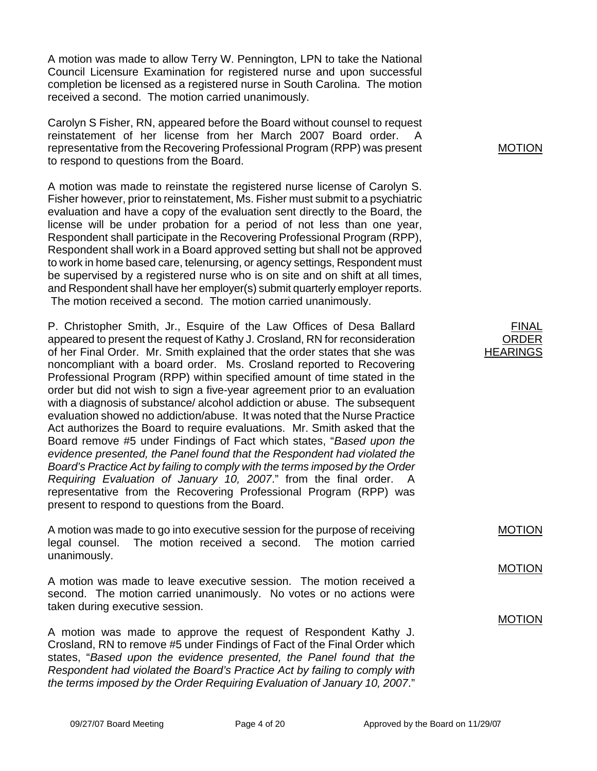A motion was made to allow Terry W. Pennington, LPN to take the National Council Licensure Examination for registered nurse and upon successful completion be licensed as a registered nurse in South Carolina. The motion received a second. The motion carried unanimously.

Carolyn S Fisher, RN, appeared before the Board without counsel to request reinstatement of her license from her March 2007 Board order. A representative from the Recovering Professional Program (RPP) was present to respond to questions from the Board.

A motion was made to reinstate the registered nurse license of Carolyn S. Fisher however, prior to reinstatement, Ms. Fisher must submit to a psychiatric evaluation and have a copy of the evaluation sent directly to the Board, the license will be under probation for a period of not less than one year, Respondent shall participate in the Recovering Professional Program (RPP), Respondent shall work in a Board approved setting but shall not be approved to work in home based care, telenursing, or agency settings, Respondent must be supervised by a registered nurse who is on site and on shift at all times, and Respondent shall have her employer(s) submit quarterly employer reports. The motion received a second. The motion carried unanimously.

P. Christopher Smith, Jr., Esquire of the Law Offices of Desa Ballard appeared to present the request of Kathy J. Crosland, RN for reconsideration of her Final Order. Mr. Smith explained that the order states that she was noncompliant with a board order. Ms. Crosland reported to Recovering Professional Program (RPP) within specified amount of time stated in the order but did not wish to sign a five-year agreement prior to an evaluation with a diagnosis of substance/ alcohol addiction or abuse. The subsequent evaluation showed no addiction/abuse. It was noted that the Nurse Practice Act authorizes the Board to require evaluations. Mr. Smith asked that the Board remove #5 under Findings of Fact which states, "*Based upon the evidence presented, the Panel found that the Respondent had violated the Board's Practice Act by failing to comply with the terms imposed by the Order Requiring Evaluation of January 10, 2007*." from the final order. A representative from the Recovering Professional Program (RPP) was present to respond to questions from the Board.

A motion was made to go into executive session for the purpose of receiving legal counsel. The motion received a second. The motion carried unanimously.

A motion was made to leave executive session. The motion received a second. The motion carried unanimously. No votes or no actions were taken during executive session.

A motion was made to approve the request of Respondent Kathy J. Crosland, RN to remove #5 under Findings of Fact of the Final Order which states, "*Based upon the evidence presented, the Panel found that the Respondent had violated the Board's Practice Act by failing to comply with the terms imposed by the Order Requiring Evaluation of January 10, 2007*."

MOTION

| FINAL           |
|-----------------|
| ORDER           |
| <b>HEARINGS</b> |

MOTION

MOTION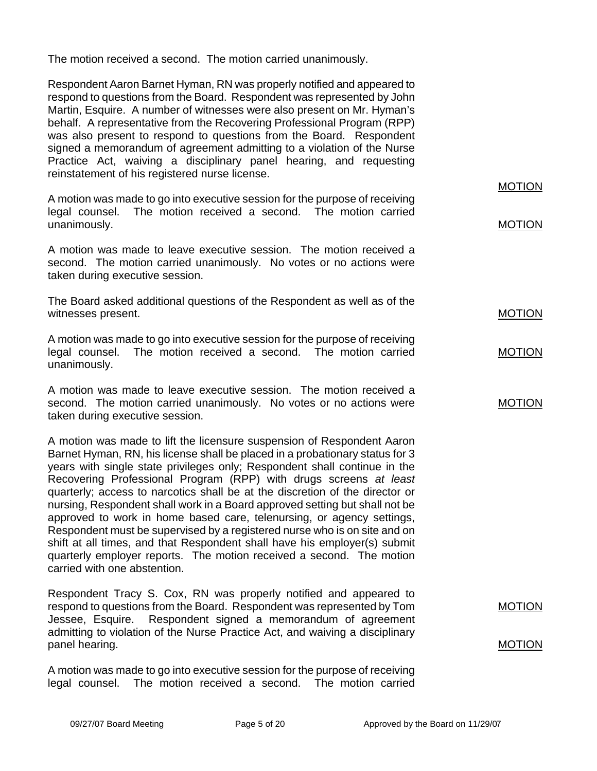The motion received a second. The motion carried unanimously.

Respondent Aaron Barnet Hyman, RN was properly notified and appeared to respond to questions from the Board. Respondent was represented by John Martin, Esquire. A number of witnesses were also present on Mr. Hyman's behalf. A representative from the Recovering Professional Program (RPP) was also present to respond to questions from the Board. Respondent signed a memorandum of agreement admitting to a violation of the Nurse Practice Act, waiving a disciplinary panel hearing, and requesting reinstatement of his registered nurse license.

A motion was made to go into executive session for the purpose of receiving legal counsel. The motion received a second. The motion carried unanimously.

A motion was made to leave executive session. The motion received a second. The motion carried unanimously. No votes or no actions were taken during executive session.

The Board asked additional questions of the Respondent as well as of the witnesses present.

A motion was made to go into executive session for the purpose of receiving legal counsel. The motion received a second. The motion carried unanimously.

A motion was made to leave executive session. The motion received a second. The motion carried unanimously. No votes or no actions were taken during executive session.

A motion was made to lift the licensure suspension of Respondent Aaron Barnet Hyman, RN, his license shall be placed in a probationary status for 3 years with single state privileges only; Respondent shall continue in the Recovering Professional Program (RPP) with drugs screens *at least* quarterly; access to narcotics shall be at the discretion of the director or nursing, Respondent shall work in a Board approved setting but shall not be approved to work in home based care, telenursing, or agency settings, Respondent must be supervised by a registered nurse who is on site and on shift at all times, and that Respondent shall have his employer(s) submit quarterly employer reports. The motion received a second. The motion carried with one abstention.

Respondent Tracy S. Cox, RN was properly notified and appeared to respond to questions from the Board. Respondent was represented by Tom Jessee, Esquire. Respondent signed a memorandum of agreement admitting to violation of the Nurse Practice Act, and waiving a disciplinary panel hearing.

A motion was made to go into executive session for the purpose of receiving legal counsel. The motion received a second. The motion carried MOTION

MOTION

MOTION

MOTION

MOTION

MOTION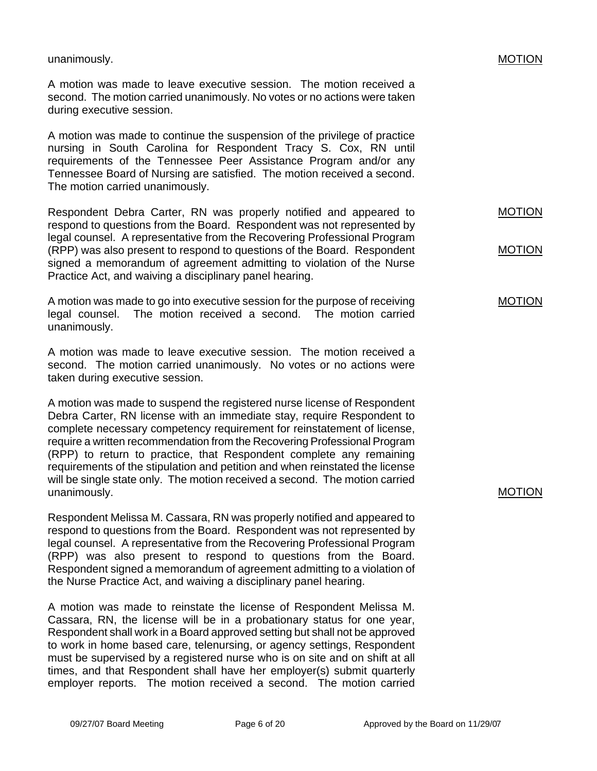unanimously.

A motion was made to leave executive session. The motion received a second. The motion carried unanimously. No votes or no actions were taken during executive session.

A motion was made to continue the suspension of the privilege of practice nursing in South Carolina for Respondent Tracy S. Cox, RN until requirements of the Tennessee Peer Assistance Program and/or any Tennessee Board of Nursing are satisfied. The motion received a second. The motion carried unanimously.

Respondent Debra Carter, RN was properly notified and appeared to respond to questions from the Board. Respondent was not represented by legal counsel. A representative from the Recovering Professional Program (RPP) was also present to respond to questions of the Board. Respondent signed a memorandum of agreement admitting to violation of the Nurse Practice Act, and waiving a disciplinary panel hearing.

A motion was made to go into executive session for the purpose of receiving legal counsel. The motion received a second. The motion carried unanimously.

A motion was made to leave executive session. The motion received a second. The motion carried unanimously. No votes or no actions were taken during executive session.

A motion was made to suspend the registered nurse license of Respondent Debra Carter, RN license with an immediate stay, require Respondent to complete necessary competency requirement for reinstatement of license, require a written recommendation from the Recovering Professional Program (RPP) to return to practice, that Respondent complete any remaining requirements of the stipulation and petition and when reinstated the license will be single state only. The motion received a second. The motion carried unanimously.

Respondent Melissa M. Cassara, RN was properly notified and appeared to respond to questions from the Board. Respondent was not represented by legal counsel. A representative from the Recovering Professional Program (RPP) was also present to respond to questions from the Board. Respondent signed a memorandum of agreement admitting to a violation of the Nurse Practice Act, and waiving a disciplinary panel hearing.

A motion was made to reinstate the license of Respondent Melissa M. Cassara, RN, the license will be in a probationary status for one year, Respondent shall work in a Board approved setting but shall not be approved to work in home based care, telenursing, or agency settings, Respondent must be supervised by a registered nurse who is on site and on shift at all times, and that Respondent shall have her employer(s) submit quarterly employer reports. The motion received a second. The motion carried MOTION

MOTION

MOTION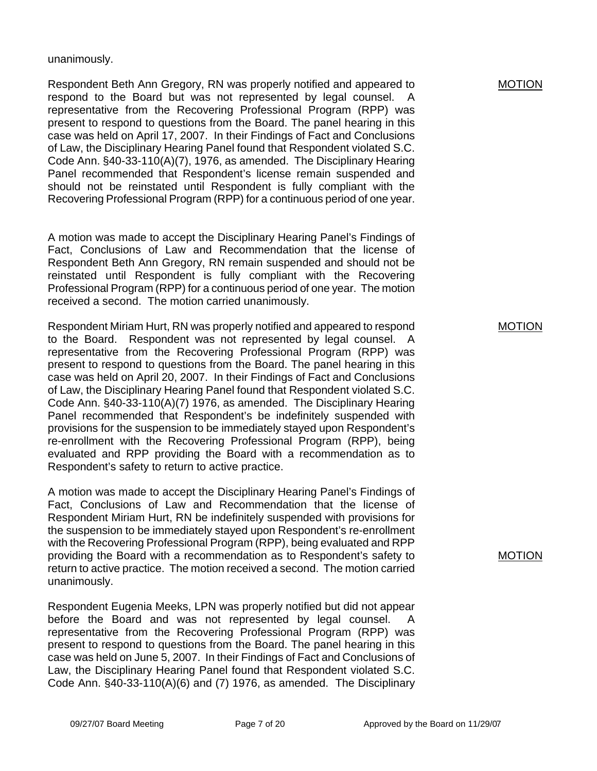### unanimously.

Respondent Beth Ann Gregory, RN was properly notified and appeared to respond to the Board but was not represented by legal counsel. A representative from the Recovering Professional Program (RPP) was present to respond to questions from the Board. The panel hearing in this case was held on April 17, 2007. In their Findings of Fact and Conclusions of Law, the Disciplinary Hearing Panel found that Respondent violated S.C. Code Ann. §40-33-110(A)(7), 1976, as amended. The Disciplinary Hearing Panel recommended that Respondent's license remain suspended and should not be reinstated until Respondent is fully compliant with the Recovering Professional Program (RPP) for a continuous period of one year.

A motion was made to accept the Disciplinary Hearing Panel's Findings of Fact, Conclusions of Law and Recommendation that the license of Respondent Beth Ann Gregory, RN remain suspended and should not be reinstated until Respondent is fully compliant with the Recovering Professional Program (RPP) for a continuous period of one year. The motion received a second. The motion carried unanimously.

Respondent Miriam Hurt, RN was properly notified and appeared to respond to the Board. Respondent was not represented by legal counsel. A representative from the Recovering Professional Program (RPP) was present to respond to questions from the Board. The panel hearing in this case was held on April 20, 2007. In their Findings of Fact and Conclusions of Law, the Disciplinary Hearing Panel found that Respondent violated S.C. Code Ann. §40-33-110(A)(7) 1976, as amended. The Disciplinary Hearing Panel recommended that Respondent's be indefinitely suspended with provisions for the suspension to be immediately stayed upon Respondent's re-enrollment with the Recovering Professional Program (RPP), being evaluated and RPP providing the Board with a recommendation as to Respondent's safety to return to active practice.

A motion was made to accept the Disciplinary Hearing Panel's Findings of Fact, Conclusions of Law and Recommendation that the license of Respondent Miriam Hurt, RN be indefinitely suspended with provisions for the suspension to be immediately stayed upon Respondent's re-enrollment with the Recovering Professional Program (RPP), being evaluated and RPP providing the Board with a recommendation as to Respondent's safety to return to active practice. The motion received a second. The motion carried unanimously.

Respondent Eugenia Meeks, LPN was properly notified but did not appear before the Board and was not represented by legal counsel. A representative from the Recovering Professional Program (RPP) was present to respond to questions from the Board. The panel hearing in this case was held on June 5, 2007. In their Findings of Fact and Conclusions of Law, the Disciplinary Hearing Panel found that Respondent violated S.C. Code Ann. §40-33-110(A)(6) and (7) 1976, as amended. The Disciplinary MOTION

MOTION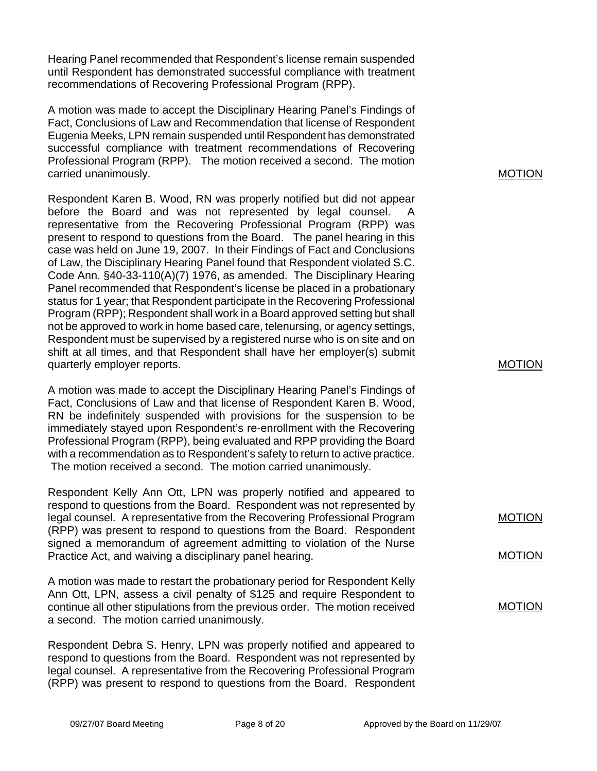Hearing Panel recommended that Respondent's license remain suspended until Respondent has demonstrated successful compliance with treatment recommendations of Recovering Professional Program (RPP).

A motion was made to accept the Disciplinary Hearing Panel's Findings of Fact, Conclusions of Law and Recommendation that license of Respondent Eugenia Meeks, LPN remain suspended until Respondent has demonstrated successful compliance with treatment recommendations of Recovering Professional Program (RPP). The motion received a second. The motion carried unanimously.

Respondent Karen B. Wood, RN was properly notified but did not appear before the Board and was not represented by legal counsel. A representative from the Recovering Professional Program (RPP) was present to respond to questions from the Board. The panel hearing in this case was held on June 19, 2007. In their Findings of Fact and Conclusions of Law, the Disciplinary Hearing Panel found that Respondent violated S.C. Code Ann. §40-33-110(A)(7) 1976, as amended. The Disciplinary Hearing Panel recommended that Respondent's license be placed in a probationary status for 1 year; that Respondent participate in the Recovering Professional Program (RPP); Respondent shall work in a Board approved setting but shall not be approved to work in home based care, telenursing, or agency settings, Respondent must be supervised by a registered nurse who is on site and on shift at all times, and that Respondent shall have her employer(s) submit quarterly employer reports.

A motion was made to accept the Disciplinary Hearing Panel's Findings of Fact, Conclusions of Law and that license of Respondent Karen B. Wood, RN be indefinitely suspended with provisions for the suspension to be immediately stayed upon Respondent's re-enrollment with the Recovering Professional Program (RPP), being evaluated and RPP providing the Board with a recommendation as to Respondent's safety to return to active practice. The motion received a second. The motion carried unanimously.

Respondent Kelly Ann Ott, LPN was properly notified and appeared to respond to questions from the Board. Respondent was not represented by legal counsel. A representative from the Recovering Professional Program (RPP) was present to respond to questions from the Board. Respondent signed a memorandum of agreement admitting to violation of the Nurse Practice Act, and waiving a disciplinary panel hearing.

A motion was made to restart the probationary period for Respondent Kelly Ann Ott, LPN, assess a civil penalty of \$125 and require Respondent to continue all other stipulations from the previous order. The motion received a second. The motion carried unanimously.

Respondent Debra S. Henry, LPN was properly notified and appeared to respond to questions from the Board. Respondent was not represented by legal counsel. A representative from the Recovering Professional Program (RPP) was present to respond to questions from the Board. Respondent

### MOTION

### MOTION

MOTION

### MOTION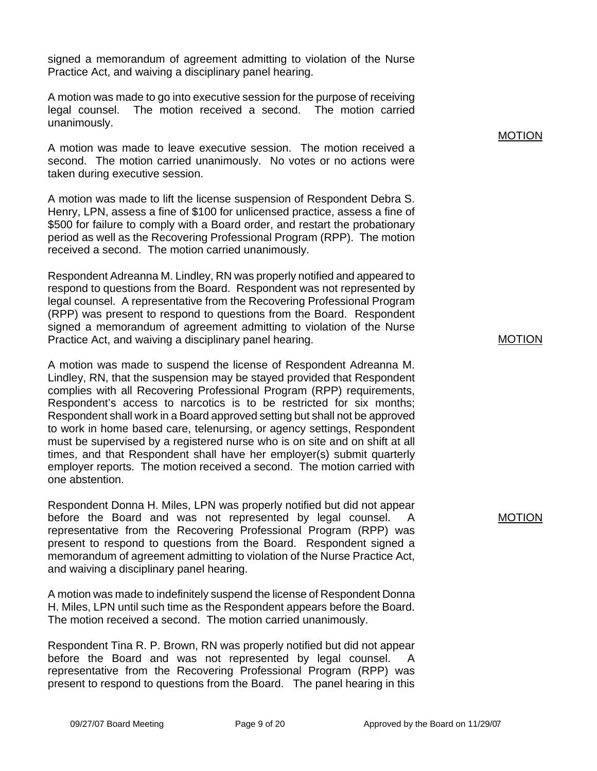signed a memorandum of agreement admitting to violation of the Nurse Practice Act, and waiving a disciplinary panel hearing.

A motion was made to go into executive session for the purpose of receiving legal counsel. The motion received a second. The motion carried unanimously.

A motion was made to leave executive session. The motion received a second. The motion carried unanimously. No votes or no actions were taken during executive session.

A motion was made to lift the license suspension of Respondent Debra S. Henry, LPN, assess a fine of \$100 for unlicensed practice, assess a fine of \$500 for failure to comply with a Board order, and restart the probationary period as well as the Recovering Professional Program (RPP). The motion received a second. The motion carried unanimously.

Respondent Adreanna M. Lindley, RN was properly notified and appeared to respond to questions from the Board. Respondent was not represented by legal counsel. A representative from the Recovering Professional Program (RPP) was present to respond to questions from the Board. Respondent signed a memorandum of agreement admitting to violation of the Nurse Practice Act, and waiving a disciplinary panel hearing.

A motion was made to suspend the license of Respondent Adreanna M. Lindley, RN, that the suspension may be stayed provided that Respondent complies with all Recovering Professional Program (RPP) requirements, Respondent's access to narcotics is to be restricted for six months; Respondent shall work in a Board approved setting but shall not be approved to work in home based care, telenursing, or agency settings, Respondent must be supervised by a registered nurse who is on site and on shift at all times, and that Respondent shall have her employer(s) submit quarterly employer reports. The motion received a second. The motion carried with one abstention.

Respondent Donna H. Miles, LPN was properly notified but did not appear before the Board and was not represented by legal counsel. A representative from the Recovering Professional Program (RPP) was present to respond to questions from the Board. Respondent signed a memorandum of agreement admitting to violation of the Nurse Practice Act, and waiving a disciplinary panel hearing.

A motion was made to indefinitely suspend the license of Respondent Donna H. Miles, LPN until such time as the Respondent appears before the Board. The motion received a second. The motion carried unanimously.

Respondent Tina R. P. Brown, RN was properly notified but did not appear before the Board and was not represented by legal counsel. A representative from the Recovering Professional Program (RPP) was present to respond to questions from the Board. The panel hearing in this MOTION

MOTION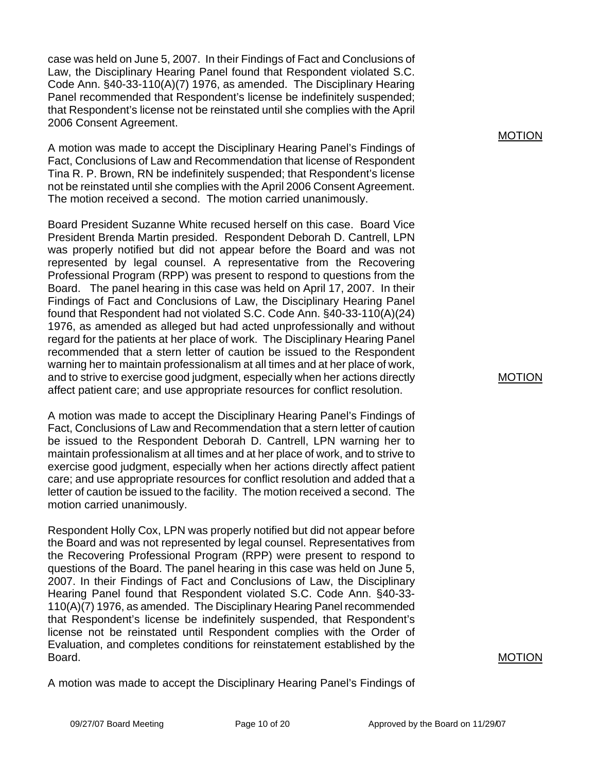case was held on June 5, 2007. In their Findings of Fact and Conclusions of Law, the Disciplinary Hearing Panel found that Respondent violated S.C. Code Ann. §40-33-110(A)(7) 1976, as amended. The Disciplinary Hearing Panel recommended that Respondent's license be indefinitely suspended; that Respondent's license not be reinstated until she complies with the April 2006 Consent Agreement.

A motion was made to accept the Disciplinary Hearing Panel's Findings of Fact, Conclusions of Law and Recommendation that license of Respondent Tina R. P. Brown, RN be indefinitely suspended; that Respondent's license not be reinstated until she complies with the April 2006 Consent Agreement. The motion received a second. The motion carried unanimously.

Board President Suzanne White recused herself on this case. Board Vice President Brenda Martin presided. Respondent Deborah D. Cantrell, LPN was properly notified but did not appear before the Board and was not represented by legal counsel. A representative from the Recovering Professional Program (RPP) was present to respond to questions from the Board. The panel hearing in this case was held on April 17, 2007. In their Findings of Fact and Conclusions of Law, the Disciplinary Hearing Panel found that Respondent had not violated S.C. Code Ann. §40-33-110(A)(24) 1976, as amended as alleged but had acted unprofessionally and without regard for the patients at her place of work. The Disciplinary Hearing Panel recommended that a stern letter of caution be issued to the Respondent warning her to maintain professionalism at all times and at her place of work, and to strive to exercise good judgment, especially when her actions directly affect patient care; and use appropriate resources for conflict resolution.

A motion was made to accept the Disciplinary Hearing Panel's Findings of Fact, Conclusions of Law and Recommendation that a stern letter of caution be issued to the Respondent Deborah D. Cantrell, LPN warning her to maintain professionalism at all times and at her place of work, and to strive to exercise good judgment, especially when her actions directly affect patient care; and use appropriate resources for conflict resolution and added that a letter of caution be issued to the facility. The motion received a second. The motion carried unanimously.

Respondent Holly Cox, LPN was properly notified but did not appear before the Board and was not represented by legal counsel. Representatives from the Recovering Professional Program (RPP) were present to respond to questions of the Board. The panel hearing in this case was held on June 5, 2007. In their Findings of Fact and Conclusions of Law, the Disciplinary Hearing Panel found that Respondent violated S.C. Code Ann. §40-33- 110(A)(7) 1976, as amended. The Disciplinary Hearing Panel recommended that Respondent's license be indefinitely suspended, that Respondent's license not be reinstated until Respondent complies with the Order of Evaluation, and completes conditions for reinstatement established by the Board.

A motion was made to accept the Disciplinary Hearing Panel's Findings of

MOTION

MOTION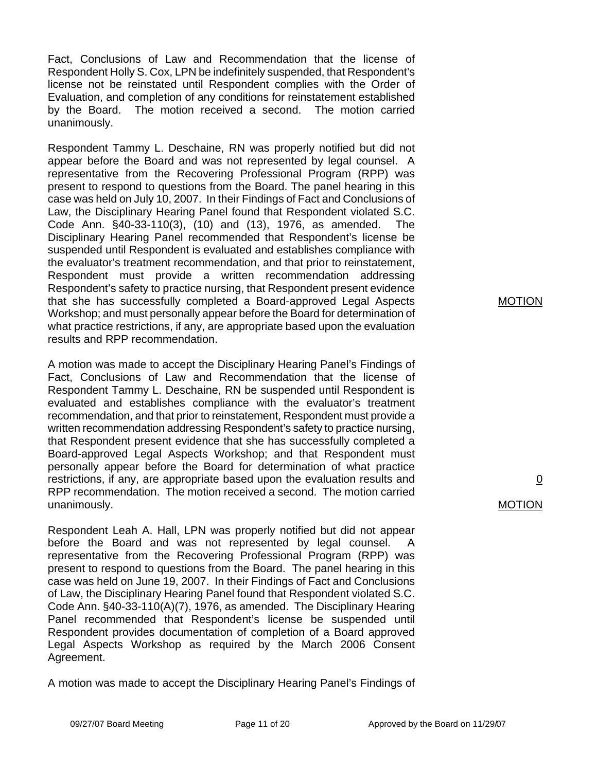Fact, Conclusions of Law and Recommendation that the license of Respondent Holly S. Cox, LPN be indefinitely suspended, that Respondent's license not be reinstated until Respondent complies with the Order of Evaluation, and completion of any conditions for reinstatement established by the Board. The motion received a second. The motion carried unanimously.

Respondent Tammy L. Deschaine, RN was properly notified but did not appear before the Board and was not represented by legal counsel. A representative from the Recovering Professional Program (RPP) was present to respond to questions from the Board. The panel hearing in this case was held on July 10, 2007. In their Findings of Fact and Conclusions of Law, the Disciplinary Hearing Panel found that Respondent violated S.C. Code Ann. §40-33-110(3), (10) and (13), 1976, as amended. The Disciplinary Hearing Panel recommended that Respondent's license be suspended until Respondent is evaluated and establishes compliance with the evaluator's treatment recommendation, and that prior to reinstatement, Respondent must provide a written recommendation addressing Respondent's safety to practice nursing, that Respondent present evidence that she has successfully completed a Board-approved Legal Aspects Workshop; and must personally appear before the Board for determination of what practice restrictions, if any, are appropriate based upon the evaluation results and RPP recommendation.

A motion was made to accept the Disciplinary Hearing Panel's Findings of Fact, Conclusions of Law and Recommendation that the license of Respondent Tammy L. Deschaine, RN be suspended until Respondent is evaluated and establishes compliance with the evaluator's treatment recommendation, and that prior to reinstatement, Respondent must provide a written recommendation addressing Respondent's safety to practice nursing, that Respondent present evidence that she has successfully completed a Board-approved Legal Aspects Workshop; and that Respondent must personally appear before the Board for determination of what practice restrictions, if any, are appropriate based upon the evaluation results and RPP recommendation. The motion received a second. The motion carried unanimously.

Respondent Leah A. Hall, LPN was properly notified but did not appear before the Board and was not represented by legal counsel. A representative from the Recovering Professional Program (RPP) was present to respond to questions from the Board. The panel hearing in this case was held on June 19, 2007. In their Findings of Fact and Conclusions of Law, the Disciplinary Hearing Panel found that Respondent violated S.C. Code Ann. §40-33-110(A)(7), 1976, as amended. The Disciplinary Hearing Panel recommended that Respondent's license be suspended until Respondent provides documentation of completion of a Board approved Legal Aspects Workshop as required by the March 2006 Consent Agreement.

A motion was made to accept the Disciplinary Hearing Panel's Findings of

MOTION

0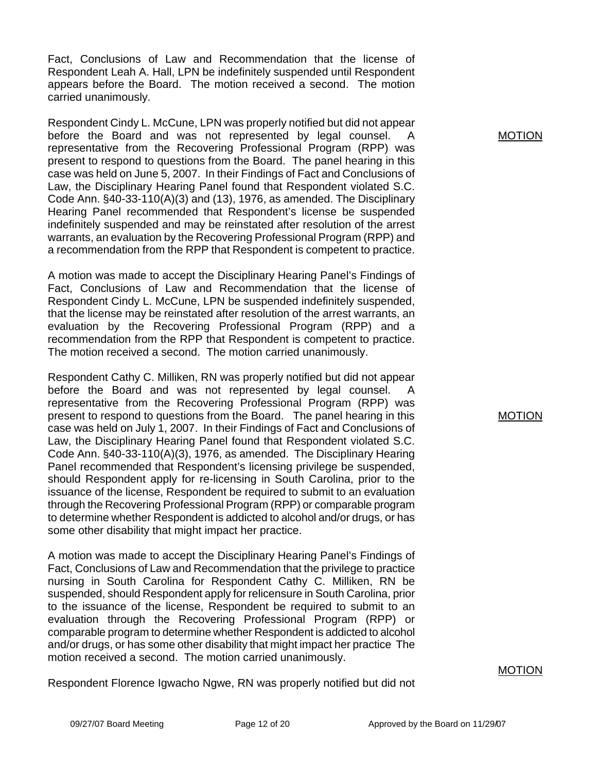Fact, Conclusions of Law and Recommendation that the license of Respondent Leah A. Hall, LPN be indefinitely suspended until Respondent appears before the Board. The motion received a second. The motion carried unanimously.

Respondent Cindy L. McCune, LPN was properly notified but did not appear before the Board and was not represented by legal counsel. A representative from the Recovering Professional Program (RPP) was present to respond to questions from the Board. The panel hearing in this case was held on June 5, 2007. In their Findings of Fact and Conclusions of Law, the Disciplinary Hearing Panel found that Respondent violated S.C. Code Ann. §40-33-110(A)(3) and (13), 1976, as amended. The Disciplinary Hearing Panel recommended that Respondent's license be suspended indefinitely suspended and may be reinstated after resolution of the arrest warrants, an evaluation by the Recovering Professional Program (RPP) and a recommendation from the RPP that Respondent is competent to practice.

A motion was made to accept the Disciplinary Hearing Panel's Findings of Fact, Conclusions of Law and Recommendation that the license of Respondent Cindy L. McCune, LPN be suspended indefinitely suspended, that the license may be reinstated after resolution of the arrest warrants, an evaluation by the Recovering Professional Program (RPP) and a recommendation from the RPP that Respondent is competent to practice. The motion received a second. The motion carried unanimously.

Respondent Cathy C. Milliken, RN was properly notified but did not appear before the Board and was not represented by legal counsel. A representative from the Recovering Professional Program (RPP) was present to respond to questions from the Board. The panel hearing in this case was held on July 1, 2007. In their Findings of Fact and Conclusions of Law, the Disciplinary Hearing Panel found that Respondent violated S.C. Code Ann. §40-33-110(A)(3), 1976, as amended. The Disciplinary Hearing Panel recommended that Respondent's licensing privilege be suspended, should Respondent apply for re-licensing in South Carolina, prior to the issuance of the license, Respondent be required to submit to an evaluation through the Recovering Professional Program (RPP) or comparable program to determine whether Respondent is addicted to alcohol and/or drugs, or has some other disability that might impact her practice.

A motion was made to accept the Disciplinary Hearing Panel's Findings of Fact, Conclusions of Law and Recommendation that the privilege to practice nursing in South Carolina for Respondent Cathy C. Milliken, RN be suspended, should Respondent apply for relicensure in South Carolina, prior to the issuance of the license, Respondent be required to submit to an evaluation through the Recovering Professional Program (RPP) or comparable program to determine whether Respondent is addicted to alcohol and/or drugs, or has some other disability that might impact her practice The motion received a second. The motion carried unanimously.

Respondent Florence Igwacho Ngwe, RN was properly notified but did not

MOTION

MOTION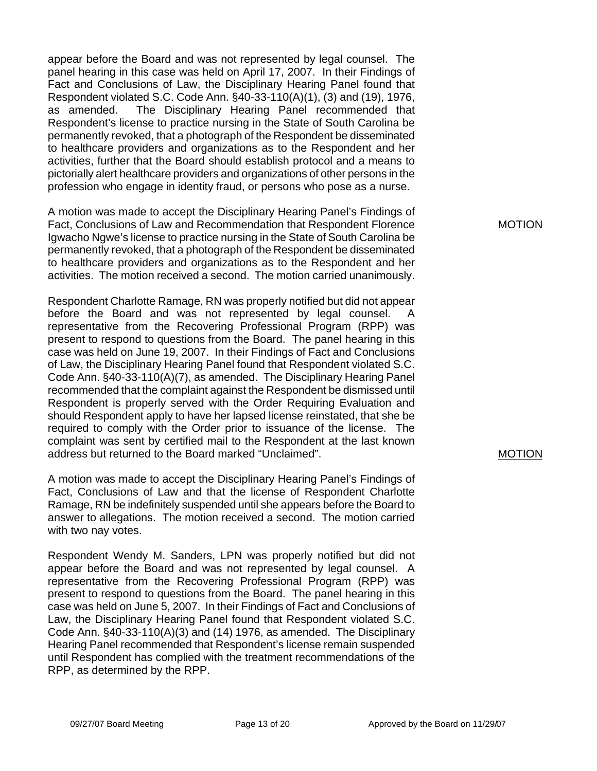appear before the Board and was not represented by legal counsel. The panel hearing in this case was held on April 17, 2007. In their Findings of Fact and Conclusions of Law, the Disciplinary Hearing Panel found that Respondent violated S.C. Code Ann. §40-33-110(A)(1), (3) and (19), 1976, as amended. The Disciplinary Hearing Panel recommended that Respondent's license to practice nursing in the State of South Carolina be permanently revoked, that a photograph of the Respondent be disseminated to healthcare providers and organizations as to the Respondent and her activities, further that the Board should establish protocol and a means to pictorially alert healthcare providers and organizations of other persons in the profession who engage in identity fraud, or persons who pose as a nurse.

A motion was made to accept the Disciplinary Hearing Panel's Findings of Fact, Conclusions of Law and Recommendation that Respondent Florence Igwacho Ngwe's license to practice nursing in the State of South Carolina be permanently revoked, that a photograph of the Respondent be disseminated to healthcare providers and organizations as to the Respondent and her activities. The motion received a second. The motion carried unanimously.

Respondent Charlotte Ramage, RN was properly notified but did not appear before the Board and was not represented by legal counsel. A representative from the Recovering Professional Program (RPP) was present to respond to questions from the Board. The panel hearing in this case was held on June 19, 2007. In their Findings of Fact and Conclusions of Law, the Disciplinary Hearing Panel found that Respondent violated S.C. Code Ann. §40-33-110(A)(7), as amended. The Disciplinary Hearing Panel recommended that the complaint against the Respondent be dismissed until Respondent is properly served with the Order Requiring Evaluation and should Respondent apply to have her lapsed license reinstated, that she be required to comply with the Order prior to issuance of the license. The complaint was sent by certified mail to the Respondent at the last known address but returned to the Board marked "Unclaimed".

A motion was made to accept the Disciplinary Hearing Panel's Findings of Fact, Conclusions of Law and that the license of Respondent Charlotte Ramage, RN be indefinitely suspended until she appears before the Board to answer to allegations. The motion received a second. The motion carried with two nay votes.

Respondent Wendy M. Sanders, LPN was properly notified but did not appear before the Board and was not represented by legal counsel. A representative from the Recovering Professional Program (RPP) was present to respond to questions from the Board. The panel hearing in this case was held on June 5, 2007. In their Findings of Fact and Conclusions of Law, the Disciplinary Hearing Panel found that Respondent violated S.C. Code Ann. §40-33-110(A)(3) and (14) 1976, as amended. The Disciplinary Hearing Panel recommended that Respondent's license remain suspended until Respondent has complied with the treatment recommendations of the RPP, as determined by the RPP.

MOTION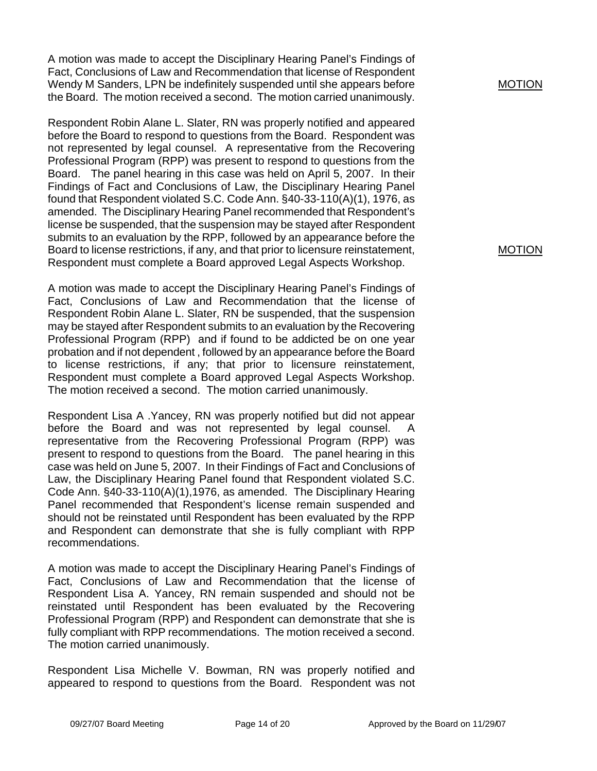A motion was made to accept the Disciplinary Hearing Panel's Findings of Fact, Conclusions of Law and Recommendation that license of Respondent Wendy M Sanders, LPN be indefinitely suspended until she appears before the Board. The motion received a second. The motion carried unanimously.

Respondent Robin Alane L. Slater, RN was properly notified and appeared before the Board to respond to questions from the Board. Respondent was not represented by legal counsel. A representative from the Recovering Professional Program (RPP) was present to respond to questions from the Board. The panel hearing in this case was held on April 5, 2007. In their Findings of Fact and Conclusions of Law, the Disciplinary Hearing Panel found that Respondent violated S.C. Code Ann. §40-33-110(A)(1), 1976, as amended. The Disciplinary Hearing Panel recommended that Respondent's license be suspended, that the suspension may be stayed after Respondent submits to an evaluation by the RPP, followed by an appearance before the Board to license restrictions, if any, and that prior to licensure reinstatement, Respondent must complete a Board approved Legal Aspects Workshop.

A motion was made to accept the Disciplinary Hearing Panel's Findings of Fact, Conclusions of Law and Recommendation that the license of Respondent Robin Alane L. Slater, RN be suspended, that the suspension may be stayed after Respondent submits to an evaluation by the Recovering Professional Program (RPP) and if found to be addicted be on one year probation and if not dependent , followed by an appearance before the Board to license restrictions, if any; that prior to licensure reinstatement, Respondent must complete a Board approved Legal Aspects Workshop. The motion received a second. The motion carried unanimously.

Respondent Lisa A .Yancey, RN was properly notified but did not appear before the Board and was not represented by legal counsel. A representative from the Recovering Professional Program (RPP) was present to respond to questions from the Board. The panel hearing in this case was held on June 5, 2007. In their Findings of Fact and Conclusions of Law, the Disciplinary Hearing Panel found that Respondent violated S.C. Code Ann. §40-33-110(A)(1),1976, as amended. The Disciplinary Hearing Panel recommended that Respondent's license remain suspended and should not be reinstated until Respondent has been evaluated by the RPP and Respondent can demonstrate that she is fully compliant with RPP recommendations.

A motion was made to accept the Disciplinary Hearing Panel's Findings of Fact, Conclusions of Law and Recommendation that the license of Respondent Lisa A. Yancey, RN remain suspended and should not be reinstated until Respondent has been evaluated by the Recovering Professional Program (RPP) and Respondent can demonstrate that she is fully compliant with RPP recommendations. The motion received a second. The motion carried unanimously.

Respondent Lisa Michelle V. Bowman, RN was properly notified and appeared to respond to questions from the Board. Respondent was not MOTION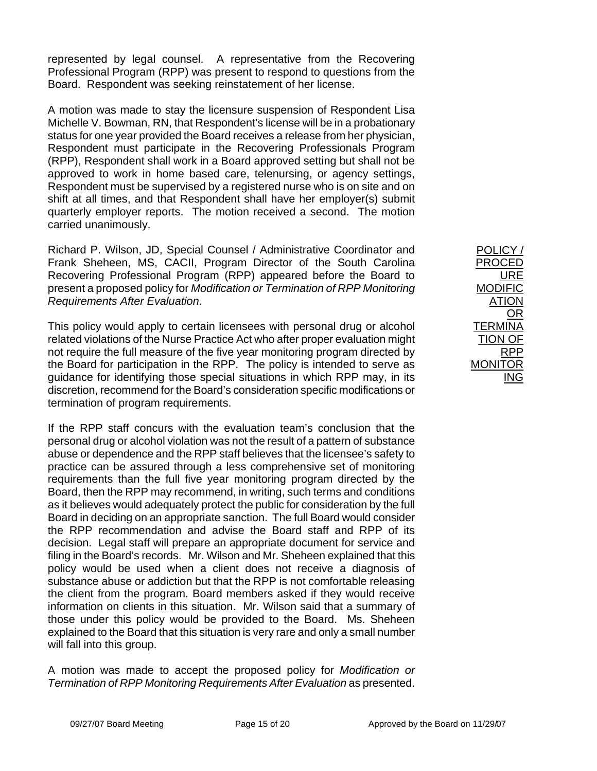represented by legal counsel. A representative from the Recovering Professional Program (RPP) was present to respond to questions from the Board. Respondent was seeking reinstatement of her license.

A motion was made to stay the licensure suspension of Respondent Lisa Michelle V. Bowman, RN, that Respondent's license will be in a probationary status for one year provided the Board receives a release from her physician, Respondent must participate in the Recovering Professionals Program (RPP), Respondent shall work in a Board approved setting but shall not be approved to work in home based care, telenursing, or agency settings, Respondent must be supervised by a registered nurse who is on site and on shift at all times, and that Respondent shall have her employer(s) submit quarterly employer reports. The motion received a second. The motion carried unanimously.

Richard P. Wilson, JD, Special Counsel / Administrative Coordinator and Frank Sheheen, MS, CACII, Program Director of the South Carolina Recovering Professional Program (RPP) appeared before the Board to present a proposed policy for *Modification or Termination of RPP Monitoring Requirements After Evaluation*.

This policy would apply to certain licensees with personal drug or alcohol related violations of the Nurse Practice Act who after proper evaluation might not require the full measure of the five year monitoring program directed by the Board for participation in the RPP. The policy is intended to serve as guidance for identifying those special situations in which RPP may, in its discretion, recommend for the Board's consideration specific modifications or termination of program requirements.

If the RPP staff concurs with the evaluation team's conclusion that the personal drug or alcohol violation was not the result of a pattern of substance abuse or dependence and the RPP staff believes that the licensee's safety to practice can be assured through a less comprehensive set of monitoring requirements than the full five year monitoring program directed by the Board, then the RPP may recommend, in writing, such terms and conditions as it believes would adequately protect the public for consideration by the full Board in deciding on an appropriate sanction. The full Board would consider the RPP recommendation and advise the Board staff and RPP of its decision. Legal staff will prepare an appropriate document for service and filing in the Board's records. Mr. Wilson and Mr. Sheheen explained that this policy would be used when a client does not receive a diagnosis of substance abuse or addiction but that the RPP is not comfortable releasing the client from the program. Board members asked if they would receive information on clients in this situation. Mr. Wilson said that a summary of those under this policy would be provided to the Board. Ms. Sheheen explained to the Board that this situation is very rare and only a small number will fall into this group.

A motion was made to accept the proposed policy for *Modification or Termination of RPP Monitoring Requirements After Evaluation* as presented.

POLICY / PROCED URE MODIFIC ATION OR **TERMINA** TION OF RPP MONITOR ING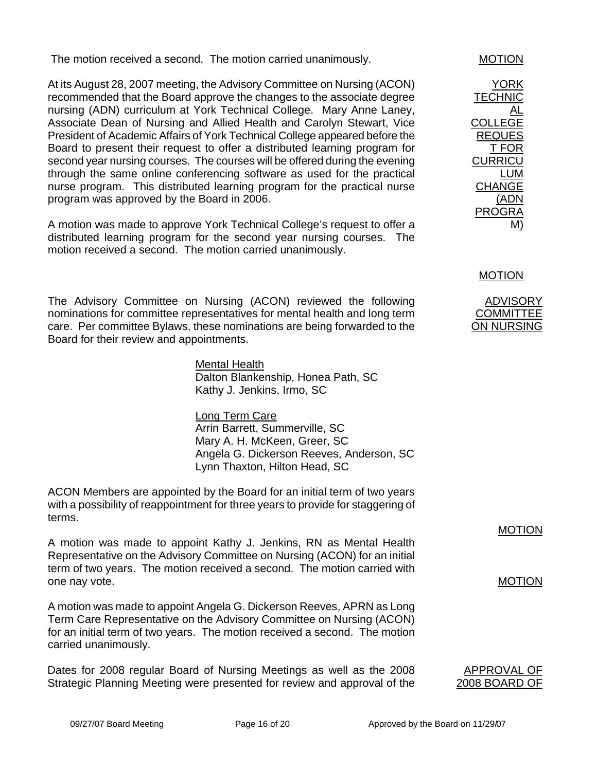The motion received a second. The motion carried unanimously. MOTION

At its August 28, 2007 meeting, the Advisory Committee on Nursing (ACON) recommended that the Board approve the changes to the associate degree nursing (ADN) curriculum at York Technical College. Mary Anne Laney, Associate Dean of Nursing and Allied Health and Carolyn Stewart, Vice President of Academic Affairs of York Technical College appeared before the Board to present their request to offer a distributed learning program for second year nursing courses. The courses will be offered during the evening through the same online conferencing software as used for the practical nurse program. This distributed learning program for the practical nurse program was approved by the Board in 2006.

A motion was made to approve York Technical College's request to offer a distributed learning program for the second year nursing courses. The motion received a second. The motion carried unanimously.

The Advisory Committee on Nursing (ACON) reviewed the following nominations for committee representatives for mental health and long term care. Per committee Bylaws, these nominations are being forwarded to the Board for their review and appointments.

> Mental Health Dalton Blankenship, Honea Path, SC Kathy J. Jenkins, Irmo, SC

Long Term Care Arrin Barrett, Summerville, SC Mary A. H. McKeen, Greer, SC Angela G. Dickerson Reeves, Anderson, SC Lynn Thaxton, Hilton Head, SC

ACON Members are appointed by the Board for an initial term of two years with a possibility of reappointment for three years to provide for staggering of terms.

A motion was made to appoint Kathy J. Jenkins, RN as Mental Health Representative on the Advisory Committee on Nursing (ACON) for an initial term of two years. The motion received a second. The motion carried with one nay vote.

A motion was made to appoint Angela G. Dickerson Reeves, APRN as Long Term Care Representative on the Advisory Committee on Nursing (ACON) for an initial term of two years. The motion received a second. The motion carried unanimously.

Dates for 2008 regular Board of Nursing Meetings as well as the 2008 Strategic Planning Meeting were presented for review and approval of the

YORK **TECHNIC** AL COLLEGE REQUES T FOR **CURRICU** LUM CHANGE (ADN PROGRA M)

MOTION

ADVISORY **COMMITTEE** ON NURSING

MOTION

MOTION

APPROVAL OF 2008 BOARD OF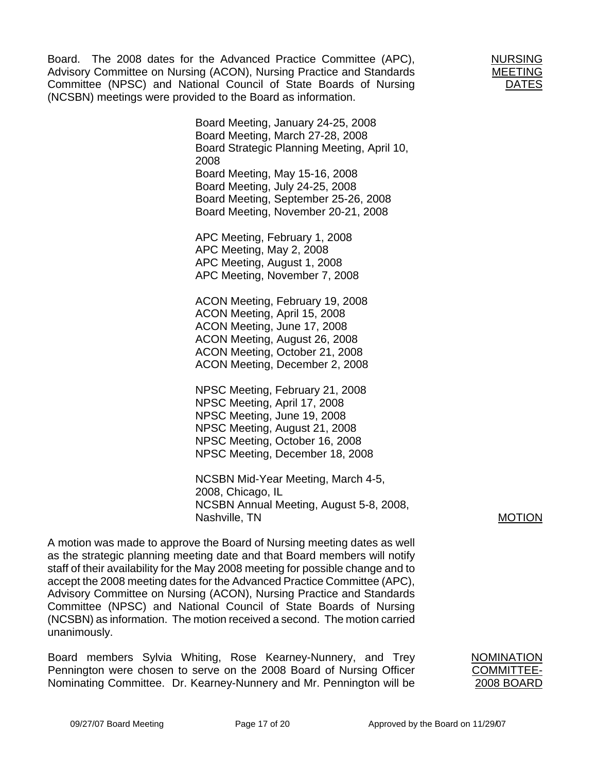Board. The 2008 dates for the Advanced Practice Committee (APC), Advisory Committee on Nursing (ACON), Nursing Practice and Standards Committee (NPSC) and National Council of State Boards of Nursing (NCSBN) meetings were provided to the Board as information.

> Board Meeting, January 24-25, 2008 Board Meeting, March 27-28, 2008 Board Strategic Planning Meeting, April 10, 2008 Board Meeting, May 15-16, 2008 Board Meeting, July 24-25, 2008 Board Meeting, September 25-26, 2008 Board Meeting, November 20-21, 2008

APC Meeting, February 1, 2008 APC Meeting, May 2, 2008 APC Meeting, August 1, 2008 APC Meeting, November 7, 2008

ACON Meeting, February 19, 2008 ACON Meeting, April 15, 2008 ACON Meeting, June 17, 2008 ACON Meeting, August 26, 2008 ACON Meeting, October 21, 2008 ACON Meeting, December 2, 2008

NPSC Meeting, February 21, 2008 NPSC Meeting, April 17, 2008 NPSC Meeting, June 19, 2008 NPSC Meeting, August 21, 2008 NPSC Meeting, October 16, 2008 NPSC Meeting, December 18, 2008

NCSBN Mid-Year Meeting, March 4-5, 2008, Chicago, IL NCSBN Annual Meeting, August 5-8, 2008, Nashville, TN

A motion was made to approve the Board of Nursing meeting dates as well as the strategic planning meeting date and that Board members will notify staff of their availability for the May 2008 meeting for possible change and to accept the 2008 meeting dates for the Advanced Practice Committee (APC), Advisory Committee on Nursing (ACON), Nursing Practice and Standards Committee (NPSC) and National Council of State Boards of Nursing (NCSBN) as information. The motion received a second. The motion carried unanimously.

Board members Sylvia Whiting, Rose Kearney-Nunnery, and Trey Pennington were chosen to serve on the 2008 Board of Nursing Officer Nominating Committee. Dr. Kearney-Nunnery and Mr. Pennington will be

NURSING MEETING DATES

MOTION

NOMINATION COMMITTEE-2008 BOARD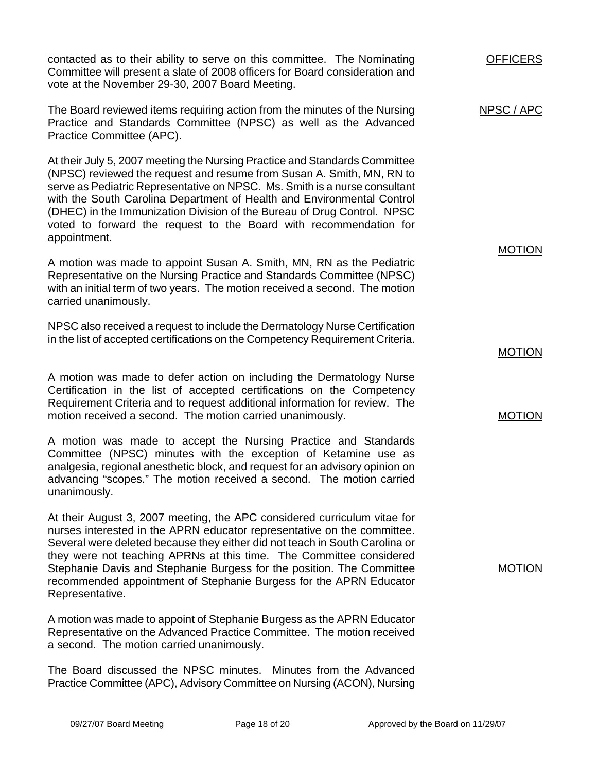contacted as to their ability to serve on this committee. The Nominating Committee will present a slate of 2008 officers for Board consideration and vote at the November 29-30, 2007 Board Meeting.

The Board reviewed items requiring action from the minutes of the Nursing Practice and Standards Committee (NPSC) as well as the Advanced Practice Committee (APC). NPSC / APC

At their July 5, 2007 meeting the Nursing Practice and Standards Committee (NPSC) reviewed the request and resume from Susan A. Smith, MN, RN to serve as Pediatric Representative on NPSC. Ms. Smith is a nurse consultant with the South Carolina Department of Health and Environmental Control (DHEC) in the Immunization Division of the Bureau of Drug Control. NPSC voted to forward the request to the Board with recommendation for appointment.

A motion was made to appoint Susan A. Smith, MN, RN as the Pediatric Representative on the Nursing Practice and Standards Committee (NPSC) with an initial term of two years. The motion received a second. The motion carried unanimously.

NPSC also received a request to include the Dermatology Nurse Certification in the list of accepted certifications on the Competency Requirement Criteria.

A motion was made to defer action on including the Dermatology Nurse Certification in the list of accepted certifications on the Competency Requirement Criteria and to request additional information for review. The motion received a second. The motion carried unanimously.

A motion was made to accept the Nursing Practice and Standards Committee (NPSC) minutes with the exception of Ketamine use as analgesia, regional anesthetic block, and request for an advisory opinion on advancing "scopes." The motion received a second. The motion carried unanimously.

At their August 3, 2007 meeting, the APC considered curriculum vitae for nurses interested in the APRN educator representative on the committee. Several were deleted because they either did not teach in South Carolina or they were not teaching APRNs at this time. The Committee considered Stephanie Davis and Stephanie Burgess for the position. The Committee recommended appointment of Stephanie Burgess for the APRN Educator Representative.

A motion was made to appoint of Stephanie Burgess as the APRN Educator Representative on the Advanced Practice Committee. The motion received a second. The motion carried unanimously.

The Board discussed the NPSC minutes. Minutes from the Advanced Practice Committee (APC), Advisory Committee on Nursing (ACON), Nursing

MOTION

**OFFICERS** 

MOTION

MOTION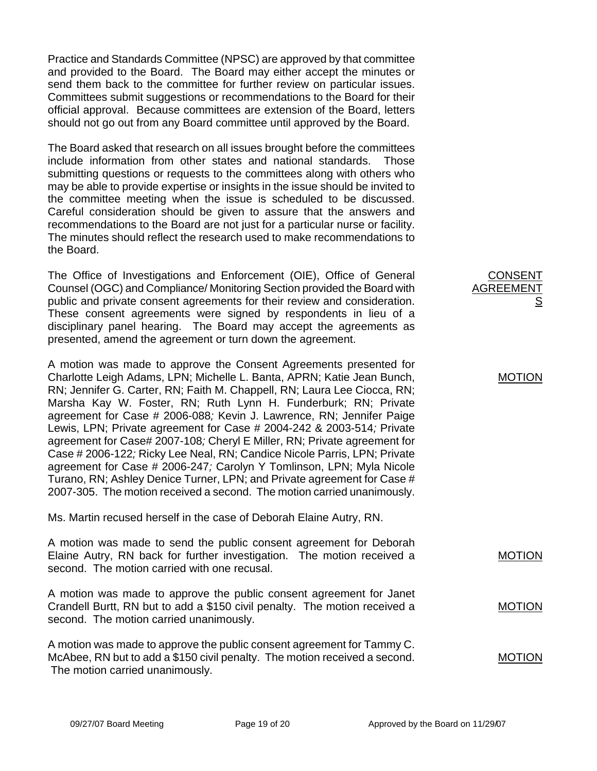Practice and Standards Committee (NPSC) are approved by that committee and provided to the Board. The Board may either accept the minutes or send them back to the committee for further review on particular issues. Committees submit suggestions or recommendations to the Board for their official approval. Because committees are extension of the Board, letters should not go out from any Board committee until approved by the Board.

The Board asked that research on all issues brought before the committees include information from other states and national standards. Those submitting questions or requests to the committees along with others who may be able to provide expertise or insights in the issue should be invited to the committee meeting when the issue is scheduled to be discussed. Careful consideration should be given to assure that the answers and recommendations to the Board are not just for a particular nurse or facility. The minutes should reflect the research used to make recommendations to the Board.

The Office of Investigations and Enforcement (OIE), Office of General Counsel (OGC) and Compliance/ Monitoring Section provided the Board with public and private consent agreements for their review and consideration. These consent agreements were signed by respondents in lieu of a disciplinary panel hearing. The Board may accept the agreements as presented, amend the agreement or turn down the agreement.

A motion was made to approve the Consent Agreements presented for Charlotte Leigh Adams, LPN; Michelle L. Banta, APRN; Katie Jean Bunch, RN; Jennifer G. Carter, RN; Faith M. Chappell, RN; Laura Lee Ciocca, RN; Marsha Kay W. Foster, RN; Ruth Lynn H. Funderburk; RN; Private agreement for Case # 2006-088*;* Kevin J. Lawrence, RN; Jennifer Paige Lewis, LPN; Private agreement for Case # 2004-242 & 2003-514*;* Private agreement for Case# 2007-108*;* Cheryl E Miller, RN; Private agreement for Case # 2006-122*;* Ricky Lee Neal, RN; Candice Nicole Parris, LPN; Private agreement for Case # 2006-247*;* Carolyn Y Tomlinson, LPN; Myla Nicole Turano, RN; Ashley Denice Turner, LPN; and Private agreement for Case # 2007-305.The motion received a second. The motion carried unanimously.

Ms. Martin recused herself in the case of Deborah Elaine Autry, RN.

A motion was made to send the public consent agreement for Deborah Elaine Autry, RN back for further investigation. The motion received a second. The motion carried with one recusal. A motion was made to approve the public consent agreement for Janet Crandell Burtt, RN but to add a \$150 civil penalty. The motion received a second. The motion carried unanimously. MOTION MOTION

A motion was made to approve the public consent agreement for Tammy C. McAbee, RN but to add a \$150 civil penalty. The motion received a second. The motion carried unanimously. MOTION

CONSENT AGREEMENT

MOTION

S